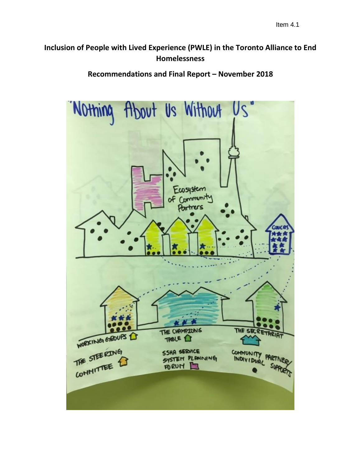## **Inclusion of People with Lived Experience (PWLE) in the Toronto Alliance to End Homelessness**

**Recommendations and Final Report – November 2018**

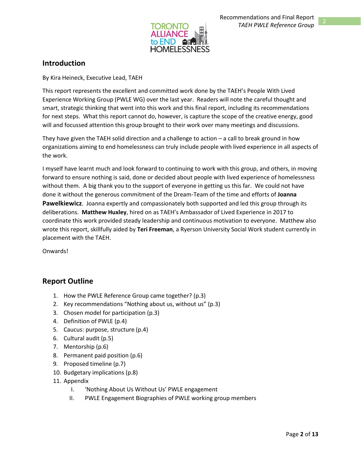

## **Introduction**

By Kira Heineck, Executive Lead, TAEH

This report represents the excellent and committed work done by the TAEH's People With Lived Experience Working Group (PWLE WG) over the last year. Readers will note the careful thought and smart, strategic thinking that went into this work and this final report, including its recommendations for next steps. What this report cannot do, however, is capture the scope of the creative energy, good will and focussed attention this group brought to their work over many meetings and discussions.

They have given the TAEH solid direction and a challenge to action – a call to break ground in how organizations aiming to end homelessness can truly include people with lived experience in all aspects of the work.

I myself have learnt much and look forward to continuing to work with this group, and others, in moving forward to ensure nothing is said, done or decided about people with lived experience of homelessness without them. A big thank you to the support of everyone in getting us this far. We could not have done it without the generous commitment of the Dream-Team of the time and efforts of **Joanna Pawelkiewicz**. Joanna expertly and compassionately both supported and led this group through its deliberations. **Matthew Huxley**, hired on as TAEH's Ambassador of Lived Experience in 2017 to coordinate this work provided steady leadership and continuous motivation to everyone. Matthew also wrote this report, skillfully aided by **Teri Freeman**, a Ryerson University Social Work student currently in placement with the TAEH.

Onwards!

### **Report Outline**

- 1. How the PWLE Reference Group came together? (p.3)
- 2. Key recommendations "Nothing about us, without us" (p.3)
- 3. Chosen model for participation (p.3)
- 4. Definition of PWLE (p.4)
- 5. Caucus: purpose, structure (p.4)
- 6. Cultural audit (p.5)
- 7. Mentorship (p.6)
- 8. Permanent paid position (p.6)
- 9. Proposed timeline (p.7)
- 10. Budgetary implications (p.8)
- 11. Appendix
	- I. 'Nothing About Us Without Us' PWLE engagement
	- II. PWLE Engagement Biographies of PWLE working group members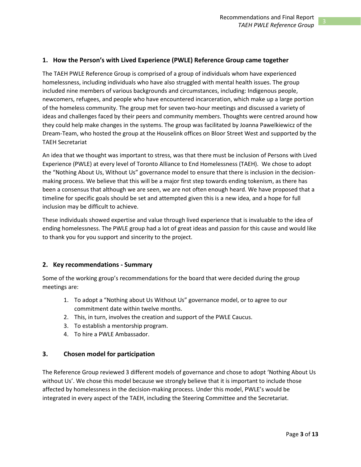### **1. How the Person's with Lived Experience (PWLE) Reference Group came together**

The TAEH PWLE Reference Group is comprised of a group of individuals whom have experienced homelessness, including individuals who have also struggled with mental health issues. The group included nine members of various backgrounds and circumstances, including: Indigenous people, newcomers, refugees, and people who have encountered incarceration, which make up a large portion of the homeless community. The group met for seven two-hour meetings and discussed a variety of ideas and challenges faced by their peers and community members. Thoughts were centred around how they could help make changes in the systems. The group was facilitated by Joanna Pawelkiewicz of the Dream-Team, who hosted the group at the Houselink offices on Bloor Street West and supported by the TAEH Secretariat

An idea that we thought was important to stress, was that there must be inclusion of Persons with Lived Experience (PWLE) at every level of Toronto Alliance to End Homelessness (TAEH). We chose to adopt the "Nothing About Us, Without Us" governance model to ensure that there is inclusion in the decisionmaking process. We believe that this will be a major first step towards ending tokenism, as there has been a consensus that although we are seen, we are not often enough heard. We have proposed that a timeline for specific goals should be set and attempted given this is a new idea, and a hope for full inclusion may be difficult to achieve.

These individuals showed expertise and value through lived experience that is invaluable to the idea of ending homelessness. The PWLE group had a lot of great ideas and passion for this cause and would like to thank you for you support and sincerity to the project.

### **2. Key recommendations - Summary**

Some of the working group's recommendations for the board that were decided during the group meetings are:

- 1. To adopt a "Nothing about Us Without Us" governance model, or to agree to our commitment date within twelve months.
- 2. This, in turn, involves the creation and support of the PWLE Caucus.
- 3. To establish a mentorship program.
- 4. To hire a PWLE Ambassador.

### **3. Chosen model for participation**

The Reference Group reviewed 3 different models of governance and chose to adopt 'Nothing About Us without Us'. We chose this model because we strongly believe that it is important to include those affected by homelessness in the decision-making process. Under this model, PWLE's would be integrated in every aspect of the TAEH, including the Steering Committee and the Secretariat.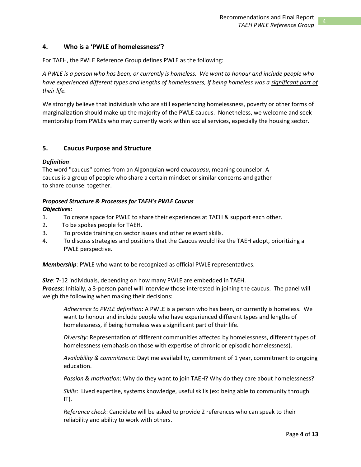### **4. Who is a 'PWLE of homelessness'?**

For TAEH, the PWLE Reference Group defines PWLE as the following:

*A PWLE is a person who has been, or currently is homeless. We want to honour and include people who have experienced different types and lengths of homelessness, if being homeless was a significant part of their life.* 

We strongly believe that individuals who are still experiencing homelessness, poverty or other forms of marginalization should make up the majority of the PWLE caucus. Nonetheless, we welcome and seek mentorship from PWLEs who may currently work within social services, especially the housing sector.

### **5. Caucus Purpose and Structure**

### *Definition*:

The word "caucus" comes from an Algonquian word *caucauasu*, meaning counselor. A caucus is a group of people who share a certain mindset or similar concerns and gather to share counsel together.

### *Proposed Structure & Processes for TAEH's PWLE Caucus*

#### *Objectives:*

- 1. To create space for PWLE to share their experiences at TAEH & support each other.
- 2. To be spokes people for TAEH.
- 3. To provide training on sector issues and other relevant skills.
- 4. To discuss strategies and positions that the Caucus would like the TAEH adopt, prioritizing a PWLE perspective.

*Membership*: PWLE who want to be recognized as official PWLE representatives.

*Size*: 7-12 individuals, depending on how many PWLE are embedded in TAEH. *Process*: Initially, a 3-person panel will interview those interested in joining the caucus. The panel will weigh the following when making their decisions:

*Adherence to PWLE definition*: A PWLE is a person who has been, or currently is homeless. We want to honour and include people who have experienced different types and lengths of homelessness, if being homeless was a significant part of their life.

*Diversity*: Representation of different communities affected by homelessness, different types of homelessness (emphasis on those with expertise of chronic or episodic homelessness).

*Availability & commitment*: Daytime availability, commitment of 1 year, commitment to ongoing education.

*Passion & motivation*: Why do they want to join TAEH? Why do they care about homelessness?

*Skills*: Lived expertise, systems knowledge, useful skills (ex: being able to community through  $IT$ ).

*Reference check*: Candidate will be asked to provide 2 references who can speak to their reliability and ability to work with others.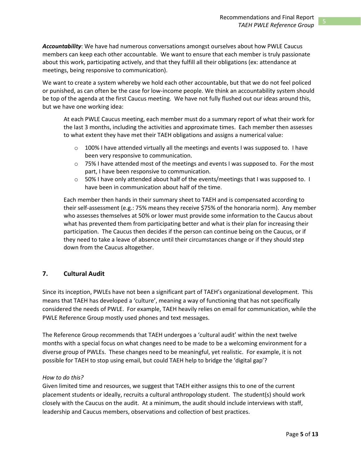*Accountability*: We have had numerous conversations amongst ourselves about how PWLE Caucus members can keep each other accountable. We want to ensure that each member is truly passionate about this work, participating actively, and that they fulfill all their obligations (ex: attendance at meetings, being responsive to communication).

We want to create a system whereby we hold each other accountable, but that we do not feel policed or punished, as can often be the case for low-income people. We think an accountability system should be top of the agenda at the first Caucus meeting. We have not fully flushed out our ideas around this, but we have one working idea:

At each PWLE Caucus meeting, each member must do a summary report of what their work for the last 3 months, including the activities and approximate times. Each member then assesses to what extent they have met their TAEH obligations and assigns a numerical value:

- $\circ$  100% I have attended virtually all the meetings and events I was supposed to. I have been very responsive to communication.
- $\circ$  75% I have attended most of the meetings and events I was supposed to. For the most part, I have been responsive to communication.
- $\circ$  50% I have only attended about half of the events/meetings that I was supposed to. I have been in communication about half of the time.

Each member then hands in their summary sheet to TAEH and is compensated according to their self-assessment (e.g.: 75% means they receive \$75% of the honoraria norm). Any member who assesses themselves at 50% or lower must provide some information to the Caucus about what has prevented them from participating better and what is their plan for increasing their participation. The Caucus then decides if the person can continue being on the Caucus, or if they need to take a leave of absence until their circumstances change or if they should step down from the Caucus altogether.

### **7. Cultural Audit**

Since its inception, PWLEs have not been a significant part of TAEH's organizational development. This means that TAEH has developed a 'culture', meaning a way of functioning that has not specifically considered the needs of PWLE. For example, TAEH heavily relies on email for communication, while the PWLE Reference Group mostly used phones and text messages.

The Reference Group recommends that TAEH undergoes a 'cultural audit' within the next twelve months with a special focus on what changes need to be made to be a welcoming environment for a diverse group of PWLEs. These changes need to be meaningful, yet realistic. For example, it is not possible for TAEH to stop using email, but could TAEH help to bridge the 'digital gap'?

### *How to do this?*

Given limited time and resources, we suggest that TAEH either assigns this to one of the current placement students or ideally, recruits a cultural anthropology student. The student(s) should work closely with the Caucus on the audit. At a minimum, the audit should include interviews with staff, leadership and Caucus members, observations and collection of best practices.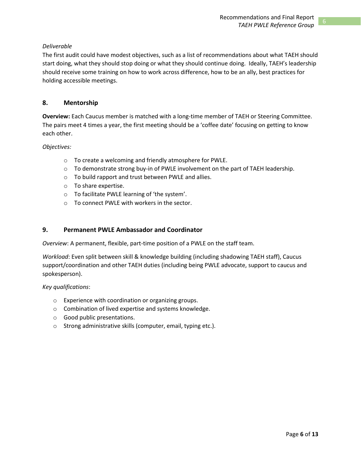### *Deliverable*

The first audit could have modest objectives, such as a list of recommendations about what TAEH should start doing, what they should stop doing or what they should continue doing. Ideally, TAEH's leadership should receive some training on how to work across difference, how to be an ally, best practices for holding accessible meetings.

### **8. Mentorship**

**Overview:** Each Caucus member is matched with a long-time member of TAEH or Steering Committee. The pairs meet 4 times a year, the first meeting should be a 'coffee date' focusing on getting to know each other.

### *Objectives:*

- o To create a welcoming and friendly atmosphere for PWLE.
- $\circ$  To demonstrate strong buy-in of PWLE involvement on the part of TAEH leadership.
- o To build rapport and trust between PWLE and allies.
- o To share expertise.
- o To facilitate PWLE learning of 'the system'.
- o To connect PWLE with workers in the sector.

### **9. Permanent PWLE Ambassador and Coordinator**

*Overview*: A permanent, flexible, part-time position of a PWLE on the staff team.

*Workload*: Even split between skill & knowledge building (including shadowing TAEH staff), Caucus support/coordination and other TAEH duties (including being PWLE advocate, support to caucus and spokesperson).

*Key qualifications*:

- o Experience with coordination or organizing groups.
- o Combination of lived expertise and systems knowledge.
- o Good public presentations.
- o Strong administrative skills (computer, email, typing etc.).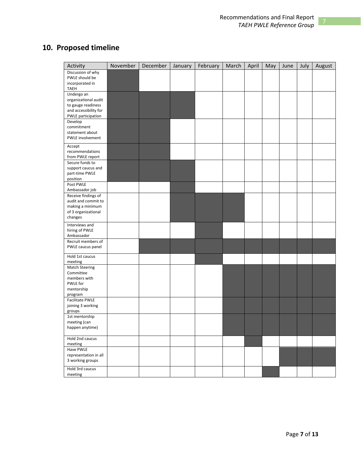# **10. Proposed timeline**

| Activity                                   | November | December | January | February | March | April | May | June | July | August |
|--------------------------------------------|----------|----------|---------|----------|-------|-------|-----|------|------|--------|
| Discussion of why                          |          |          |         |          |       |       |     |      |      |        |
| PWLE should be                             |          |          |         |          |       |       |     |      |      |        |
| incorporated in                            |          |          |         |          |       |       |     |      |      |        |
| <b>TAEH</b>                                |          |          |         |          |       |       |     |      |      |        |
| Undergo an                                 |          |          |         |          |       |       |     |      |      |        |
| organizational audit<br>to gauge readiness |          |          |         |          |       |       |     |      |      |        |
| and accessibility for                      |          |          |         |          |       |       |     |      |      |        |
| PWLE participation                         |          |          |         |          |       |       |     |      |      |        |
| Develop                                    |          |          |         |          |       |       |     |      |      |        |
| commitment                                 |          |          |         |          |       |       |     |      |      |        |
| statement about                            |          |          |         |          |       |       |     |      |      |        |
| PWLE involvement                           |          |          |         |          |       |       |     |      |      |        |
|                                            |          |          |         |          |       |       |     |      |      |        |
| Accept<br>recommendations                  |          |          |         |          |       |       |     |      |      |        |
| from PWLE report                           |          |          |         |          |       |       |     |      |      |        |
| Secure funds to                            |          |          |         |          |       |       |     |      |      |        |
| support caucus and                         |          |          |         |          |       |       |     |      |      |        |
| part-time PWLE                             |          |          |         |          |       |       |     |      |      |        |
| position                                   |          |          |         |          |       |       |     |      |      |        |
| Post PWLE                                  |          |          |         |          |       |       |     |      |      |        |
| Ambassador job                             |          |          |         |          |       |       |     |      |      |        |
| Receive findings of                        |          |          |         |          |       |       |     |      |      |        |
| audit and commit to                        |          |          |         |          |       |       |     |      |      |        |
| making a minimum                           |          |          |         |          |       |       |     |      |      |        |
| of 3 organizational                        |          |          |         |          |       |       |     |      |      |        |
| changes                                    |          |          |         |          |       |       |     |      |      |        |
| Interviews and                             |          |          |         |          |       |       |     |      |      |        |
| hiring of PWLE                             |          |          |         |          |       |       |     |      |      |        |
| Ambassador                                 |          |          |         |          |       |       |     |      |      |        |
| Recruit members of                         |          |          |         |          |       |       |     |      |      |        |
| PWLE caucus panel                          |          |          |         |          |       |       |     |      |      |        |
| Hold 1st caucus                            |          |          |         |          |       |       |     |      |      |        |
| meeting                                    |          |          |         |          |       |       |     |      |      |        |
| <b>Match Steering</b>                      |          |          |         |          |       |       |     |      |      |        |
| Committee                                  |          |          |         |          |       |       |     |      |      |        |
| members with                               |          |          |         |          |       |       |     |      |      |        |
| PWLE for                                   |          |          |         |          |       |       |     |      |      |        |
| mentorship                                 |          |          |         |          |       |       |     |      |      |        |
| program                                    |          |          |         |          |       |       |     |      |      |        |
| Facilitate PWLE                            |          |          |         |          |       |       |     |      |      |        |
| joining 3 working                          |          |          |         |          |       |       |     |      |      |        |
| groups<br>1st mentorship                   |          |          |         |          |       |       |     |      |      |        |
| meeting (can                               |          |          |         |          |       |       |     |      |      |        |
| happen anytime)                            |          |          |         |          |       |       |     |      |      |        |
|                                            |          |          |         |          |       |       |     |      |      |        |
| Hold 2nd caucus                            |          |          |         |          |       |       |     |      |      |        |
| meeting                                    |          |          |         |          |       |       |     |      |      |        |
| Have PWLE                                  |          |          |         |          |       |       |     |      |      |        |
| representation in all                      |          |          |         |          |       |       |     |      |      |        |
| 3 working groups                           |          |          |         |          |       |       |     |      |      |        |
| Hold 3rd caucus                            |          |          |         |          |       |       |     |      |      |        |
| meeting                                    |          |          |         |          |       |       |     |      |      |        |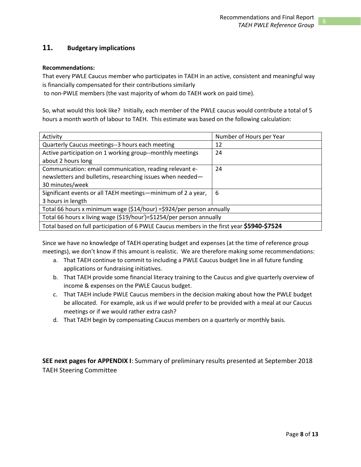### **11. Budgetary implications**

### **Recommendations:**

That every PWLE Caucus member who participates in TAEH in an active, consistent and meaningful way is financially compensated for their contributions similarly

to non-PWLE members (the vast majority of whom do TAEH work on paid time).

So, what would this look like? Initially, each member of the PWLE caucus would contribute a total of 5 hours a month worth of labour to TAEH. This estimate was based on the following calculation:

| Activity                                                                                   | Number of Hours per Year |  |  |  |  |
|--------------------------------------------------------------------------------------------|--------------------------|--|--|--|--|
| Quarterly Caucus meetings--3 hours each meeting                                            | 12                       |  |  |  |  |
| Active participation on 1 working group--monthly meetings                                  | 24                       |  |  |  |  |
| about 2 hours long                                                                         |                          |  |  |  |  |
| Communication: email communication, reading relevant e-                                    | 24                       |  |  |  |  |
| newsletters and bulletins, researching issues when needed-                                 |                          |  |  |  |  |
| 30 minutes/week                                                                            |                          |  |  |  |  |
| Significant events or all TAEH meetings—minimum of 2 a year,                               | 6                        |  |  |  |  |
| 3 hours in length                                                                          |                          |  |  |  |  |
| Total 66 hours x minimum wage (\$14/hour) = \$924/per person annually                      |                          |  |  |  |  |
| Total 66 hours x living wage (\$19/hour <sup>i</sup> )=\$1254/per person annually          |                          |  |  |  |  |
| Total based on full participation of 6 PWLE Caucus members in the first year \$5940-\$7524 |                          |  |  |  |  |

Since we have no knowledge of TAEH operating budget and expenses (at the time of reference group meetings), we don't know if this amount is realistic. We are therefore making some recommendations:

- a. That TAEH continue to commit to including a PWLE Caucus budget line in all future funding applications or fundraising initiatives.
- b. That TAEH provide some financial literacy training to the Caucus and give quarterly overview of income & expenses on the PWLE Caucus budget.
- c. That TAEH include PWLE Caucus members in the decision making about how the PWLE budget be allocated. For example, ask us if we would prefer to be provided with a meal at our Caucus meetings or if we would rather extra cash?
- d. That TAEH begin by compensating Caucus members on a quarterly or monthly basis.

**SEE next pages for APPENDIX I**: Summary of preliminary results presented at September 2018 TAEH Steering Committee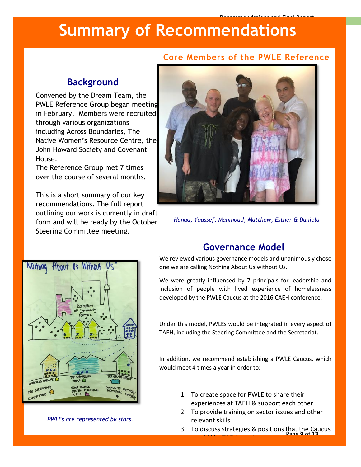# **Summary of Recommendations**

## **Core Members of the PWLE Reference**

Recommendations and Final Report

# **Background**

Convened by the Dream Team, the PWLE Reference Group began meeting in February. Members were recruited through various organizations including Across Boundaries, The Native Women's Resource Centre, the John Howard Society and Covenant House.

The Reference Group met 7 times over the course of several months.

This is a short summary of our key recommendations. The full report outlining our work is currently in draft form and will be ready by the October Steering Committee meeting.



*Hanad, Youssef, Mahmoud, Matthew, Esther & Daniela*



*PWLEs are represented by stars.*

# **Governance Model**

We reviewed various governance models and unanimously chose one we are calling Nothing About Us without Us.

We were greatly influenced by 7 principals for leadership and inclusion of people with lived experience of homelessness developed by the PWLE Caucus at the 2016 CAEH conference.

Under this model, PWLEs would be integrated in every aspect of TAEH, including the Steering Committee and the Secretariat.

In addition, we recommend establishing a PWLE Caucus, which would meet 4 times a year in order to:

> 1. To create space for PWLE to share their experiences at TAEH & support each other

would like TAEH to adopt the TAEH to adopt the TAEH to adopt the TAEH to adopt the TAEH to adopt the TAEH to a<br>TAEH to adopt the TAEH to adopt the TAEH to adopt the TAEH to adopt the TAEH to adopt the TAEH to adopt the TA

- 2. To provide training on sector issues and other relevant skills
- Page **9** of **13** 3. To discuss strategies & positions that the Caucus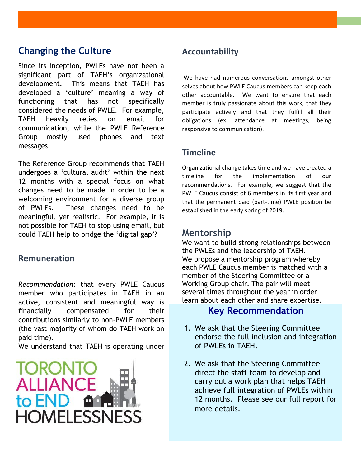# **Changing the Culture**

Since its inception, PWLEs have not been a significant part of TAEH's organizational development. This means that TAEH has developed a 'culture' meaning a way of functioning that has not specifically considered the needs of PWLE. For example, TAEH heavily relies on email for communication, while the PWLE Reference Group mostly used phones and text messages.

The Reference Group recommends that TAEH undergoes a 'cultural audit' within the next 12 months with a special focus on what changes need to be made in order to be a welcoming environment for a diverse group of PWLEs. These changes need to be meaningful, yet realistic. For example, it is not possible for TAEH to stop using email, but could TAEH help to bridge the 'digital gap'?

## **Remuneration**

*Recommendation:* that every PWLE Caucus member who participates in TAEH in an active, consistent and meaningful way is financially compensated for their contributions similarly to non-PWLE members (the vast majority of whom do TAEH work on paid time).

We understand that TAEH is operating under



# **Accountability**

We have had numerous conversations amongst other selves about how PWLE Caucus members can keep each other accountable. We want to ensure that each member is truly passionate about this work, that they participate actively and that they fulfill all their obligations (ex: attendance at meetings, being responsive to communication).

*TAEH PWLE Reference Group*

## **Timeline**

Organizational change takes time and we have created a timeline for the implementation of our recommendations. For example, we suggest that the PWLE Caucus consist of 6 members in its first year and that the permanent paid (part-time) PWLE position be established in the early spring of 2019.

## **Mentorship**

We want to build strong relationships between the PWLEs and the leadership of TAEH. We propose a mentorship program whereby each PWLE Caucus member is matched with a member of the Steering Committee or a Working Group chair. The pair will meet several times throughout the year in order learn about each other and share expertise.

## **Key Recommendation**

- 1. We ask that the Steering Committee endorse the full inclusion and integration of PWLEs in TAEH.
- 2. We ask that the Steering Committee direct the staff team to develop and carry out a work plan that helps TAEH achieve full integration of PWLEs within 12 months. Please see our full report for more details.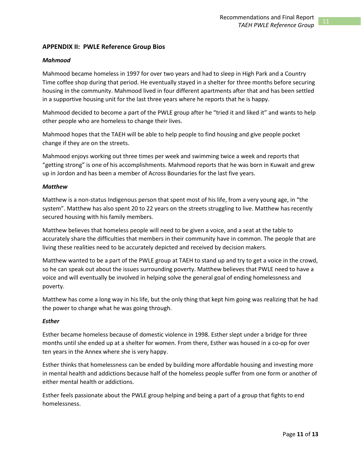### **APPENDIX II: PWLE Reference Group Bios**

### *Mahmood*

Mahmood became homeless in 1997 for over two years and had to sleep in High Park and a Country Time coffee shop during that period. He eventually stayed in a shelter for three months before securing housing in the community. Mahmood lived in four different apartments after that and has been settled in a supportive housing unit for the last three years where he reports that he is happy.

Mahmood decided to become a part of the PWLE group after he "tried it and liked it" and wants to help other people who are homeless to change their lives.

Mahmood hopes that the TAEH will be able to help people to find housing and give people pocket change if they are on the streets.

Mahmood enjoys working out three times per week and swimming twice a week and reports that "getting strong" is one of his accomplishments. Mahmood reports that he was born in Kuwait and grew up in Jordon and has been a member of Across Boundaries for the last five years.

### *Matthew*

Matthew is a non-status Indigenous person that spent most of his life, from a very young age, in "the system". Matthew has also spent 20 to 22 years on the streets struggling to live. Matthew has recently secured housing with his family members.

Matthew believes that homeless people will need to be given a voice, and a seat at the table to accurately share the difficulties that members in their community have in common. The people that are living these realities need to be accurately depicted and received by decision makers.

Matthew wanted to be a part of the PWLE group at TAEH to stand up and try to get a voice in the crowd, so he can speak out about the issues surrounding poverty. Matthew believes that PWLE need to have a voice and will eventually be involved in helping solve the general goal of ending homelessness and poverty.

Matthew has come a long way in his life, but the only thing that kept him going was realizing that he had the power to change what he was going through.

### *Esther*

Esther became homeless because of domestic violence in 1998. Esther slept under a bridge for three months until she ended up at a shelter for women. From there, Esther was housed in a co-op for over ten years in the Annex where she is very happy.

Esther thinks that homelessness can be ended by building more affordable housing and investing more in mental health and addictions because half of the homeless people suffer from one form or another of either mental health or addictions.

Esther feels passionate about the PWLE group helping and being a part of a group that fights to end homelessness.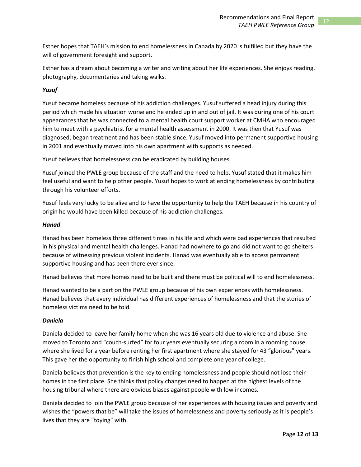Esther hopes that TAEH's mission to end homelessness in Canada by 2020 is fulfilled but they have the will of government foresight and support.

Esther has a dream about becoming a writer and writing about her life experiences. She enjoys reading, photography, documentaries and taking walks.

### *Yusuf*

Yusuf became homeless because of his addiction challenges. Yusuf suffered a head injury during this period which made his situation worse and he ended up in and out of jail. It was during one of his court appearances that he was connected to a mental health court support worker at CMHA who encouraged him to meet with a psychiatrist for a mental health assessment in 2000. It was then that Yusuf was diagnosed, began treatment and has been stable since. Yusuf moved into permanent supportive housing in 2001 and eventually moved into his own apartment with supports as needed.

Yusuf believes that homelessness can be eradicated by building houses.

Yusuf joined the PWLE group because of the staff and the need to help. Yusuf stated that it makes him feel useful and want to help other people. Yusuf hopes to work at ending homelessness by contributing through his volunteer efforts.

Yusuf feels very lucky to be alive and to have the opportunity to help the TAEH because in his country of origin he would have been killed because of his addiction challenges.

### *Hanad*

Hanad has been homeless three different times in his life and which were bad experiences that resulted in his physical and mental health challenges. Hanad had nowhere to go and did not want to go shelters because of witnessing previous violent incidents. Hanad was eventually able to access permanent supportive housing and has been there ever since.

Hanad believes that more homes need to be built and there must be political will to end homelessness.

Hanad wanted to be a part on the PWLE group because of his own experiences with homelessness. Hanad believes that every individual has different experiences of homelessness and that the stories of homeless victims need to be told.

### *Daniela*

Daniela decided to leave her family home when she was 16 years old due to violence and abuse. She moved to Toronto and "couch-surfed" for four years eventually securing a room in a rooming house where she lived for a year before renting her first apartment where she stayed for 43 "glorious" years. This gave her the opportunity to finish high school and complete one year of college.

Daniela believes that prevention is the key to ending homelessness and people should not lose their homes in the first place. She thinks that policy changes need to happen at the highest levels of the housing tribunal where there are obvious biases against people with low incomes.

Daniela decided to join the PWLE group because of her experiences with housing issues and poverty and wishes the "powers that be" will take the issues of homelessness and poverty seriously as it is people's lives that they are "toying" with.